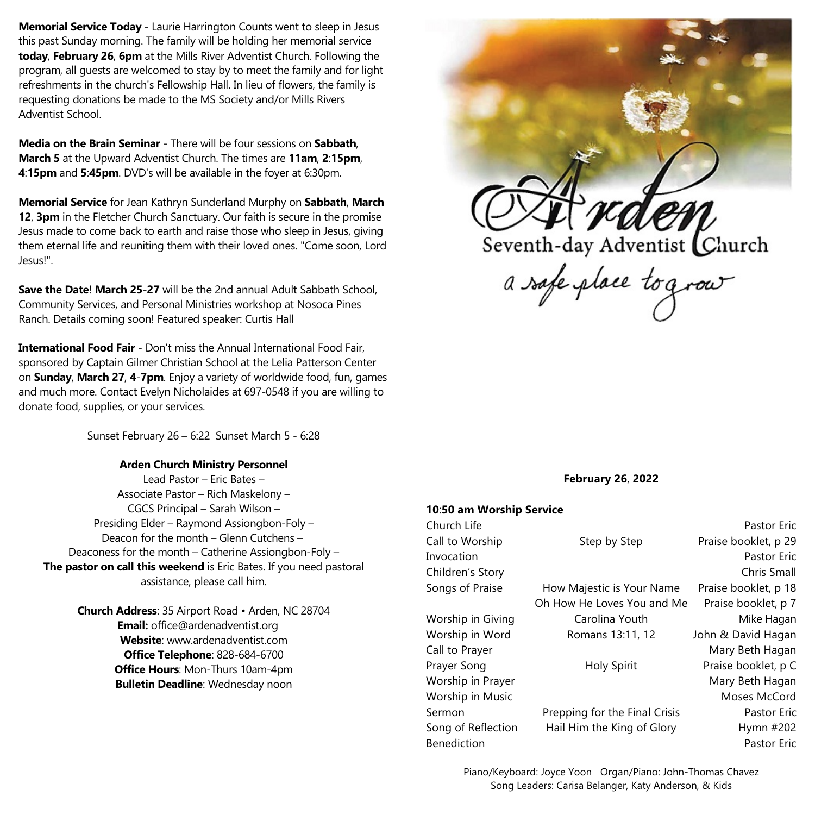**Memorial Service Today** - Laurie Harrington Counts went to sleep in Jesus this past Sunday morning. The family will be holding her memorial service **today**, **February 26**, **6pm** at the Mills River Adventist Church. Following the program, all guests are welcomed to stay by to meet the family and for light refreshments in the church's Fellowship Hall. In lieu of flowers, the family is requesting donations be made to the MS Society and/or Mills Rivers Adventist School.

**Media on the Brain Seminar** - There will be four sessions on **Sabbath**, **March 5** at the Upward Adventist Church. The times are **11am**, **2**:**15pm**, **4**:**15pm** and **5**:**45pm**. DVD's will be available in the foyer at 6:30pm.

**Memorial Service** for Jean Kathryn Sunderland Murphy on **Sabbath**, **March 12**, **3pm** in the Fletcher Church Sanctuary. Our faith is secure in the promise Jesus made to come back to earth and raise those who sleep in Jesus, giving them eternal life and reuniting them with their loved ones. "Come soon, Lord Jesus!".

**Save the Date**! **March 25**-**27** will be the 2nd annual Adult Sabbath School, Community Services, and Personal Ministries workshop at Nosoca Pines Ranch. Details coming soon! Featured speaker: Curtis Hall

**International Food Fair** - Don't miss the Annual International Food Fair, sponsored by Captain Gilmer Christian School at the Lelia Patterson Center on **Sunday**, **March 27**, **4**-**7pm**. Enjoy a variety of worldwide food, fun, games and much more. Contact Evelyn Nicholaides at 697-0548 if you are willing to donate food, supplies, or your services.

Sunset February 26 – 6:22 Sunset March 5 - 6:28

# **Arden Church Ministry Personnel**

Lead Pastor – Eric Bates – Associate Pastor – Rich Maskelony – CGCS Principal – Sarah Wilson – Presiding Elder – Raymond Assiongbon-Foly – Deacon for the month – Glenn Cutchens – Deaconess for the month – Catherine Assiongbon-Foly – **The pastor on call this weekend** is Eric Bates. If you need pastoral assistance, please call him.

> **Church Address**: 35 Airport Road • Arden, NC 28704 **Email:** office@ardenadventist.org **Website**: www.ardenadventist.com **Office Telephone**: 828-684-6700 **Office Hours**: Mon-Thurs 10am-4pm **Bulletin Deadline**: Wednesday noon



### **February 26**, **2022**

## **10**:**50 am Worship Service**

| Church Life        |                               | Pastor Eric          |
|--------------------|-------------------------------|----------------------|
| Call to Worship    | Step by Step                  | Praise booklet, p 29 |
| Invocation         |                               | <b>Pastor Eric</b>   |
| Children's Story   |                               | Chris Small          |
| Songs of Praise    | How Majestic is Your Name     | Praise booklet, p 18 |
|                    | Oh How He Loves You and Me    | Praise booklet, p 7  |
| Worship in Giving  | Carolina Youth                | Mike Hagan           |
| Worship in Word    | Romans 13:11, 12              | John & David Hagan   |
| Call to Prayer     |                               | Mary Beth Hagan      |
| Prayer Song        | <b>Holy Spirit</b>            | Praise booklet, p C  |
| Worship in Prayer  |                               | Mary Beth Hagan      |
| Worship in Music   |                               | Moses McCord         |
| Sermon             | Prepping for the Final Crisis | Pastor Eric          |
| Song of Reflection | Hail Him the King of Glory    | Hymn #202            |
| <b>Benediction</b> |                               | Pastor Eric          |

Piano/Keyboard: Joyce Yoon Organ/Piano: John-Thomas Chavez Song Leaders: Carisa Belanger, Katy Anderson, & Kids